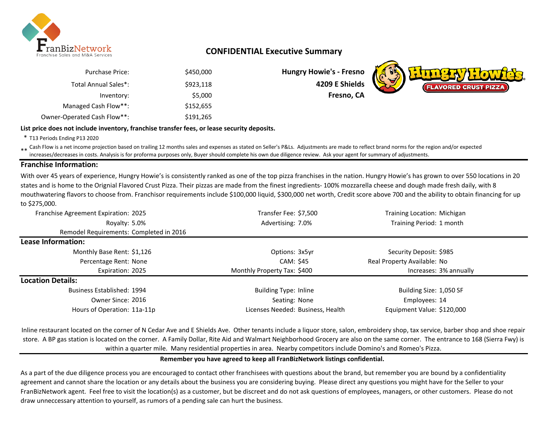

# **CONFIDENTIAL Executive Summary**

| <b>Purchase Price:</b>      | \$450,000 |
|-----------------------------|-----------|
| Total Annual Sales*:        | \$923,118 |
| Inventory:                  | \$5,000   |
| Managed Cash Flow**:        | \$152,655 |
| Owner-Operated Cash Flow**: | \$191,265 |

#### **List price does not include inventory, franchise transfer fees, or lease security deposits.**

\* T13 Periods Ending P13 2020

\*\* Cash Flow is a net income projection based on trailing 12 months sales and expenses as stated on Seller's P&Ls. Adjustments are made to reflect brand norms for the region and/or expected<br>increased decreases in easter An increases/decreases in costs. Analysis is for proforma purposes only, Buyer should complete his own due diligence review. Ask your agent for summary of adjustments.

## **Franchise Information:**

With over 45 years of experience, Hungry Howie's is consistently ranked as one of the top pizza franchises in the nation. Hungry Howie's has grown to over 550 locations in 20 states and is home to the Orignial Flavored Crust Pizza. Their pizzas are made from the finest ingredients- 100% mozzarella cheese and dough made fresh daily, with 8 mouthwatering flavors to choose from. Franchisor requirements include \$100,000 liquid, \$300,000 net worth, Credit score above 700 and the ability to obtain financing for up to \$275,000.

| Franchise Agreement Expiration: 2025    | Transfer Fee: \$7,500             | Training Location: Michigan |
|-----------------------------------------|-----------------------------------|-----------------------------|
| Royalty: 5.0%                           | Advertising: 7.0%                 | Training Period: 1 month    |
| Remodel Requirements: Completed in 2016 |                                   |                             |
| Lease Information:                      |                                   |                             |
| Monthly Base Rent: \$1,126              | Options: 3x5yr                    | Security Deposit: \$985     |
| Percentage Rent: None                   | CAM: \$45                         | Real Property Available: No |
| Expiration: 2025                        | Monthly Property Tax: \$400       | Increases: 3% annually      |
| <b>Location Details:</b>                |                                   |                             |
| Business Established: 1994              | Building Type: Inline             | Building Size: 1,050 SF     |
| Owner Since: 2016                       | Seating: None                     | Employees: 14               |
| Hours of Operation: 11a-11p             | Licenses Needed: Business, Health | Equipment Value: \$120,000  |

Inline restaurant located on the corner of N Cedar Ave and E Shields Ave. Other tenants include a liquor store, salon, embroidery shop, tax service, barber shop and shoe repair store. A BP gas station is located on the corner. A Family Dollar, Rite Aid and Walmart Neighborhood Grocery are also on the same corner. The entrance to 168 (Sierra Fwy) is within a quarter mile. Many residential properties in area. Nearby competitors include Domino's and Romeo's Pizza.

### **Remember you have agreed to keep all FranBizNetwork listings confidential.**

As a part of the due diligence process you are encouraged to contact other franchisees with questions about the brand, but remember you are bound by a confidentiality agreement and cannot share the location or any details about the business you are considering buying. Please direct any questions you might have for the Seller to your FranBizNetwork agent. Feel free to visit the location(s) as a customer, but be discreet and do not ask questions of employees, managers, or other customers. Please do not draw unneccessary attention to yourself, as rumors of a pending sale can hurt the business.

**Hungry Howie's - Fresno** \$923,118 **4209 E Shields Fresno, CA** 

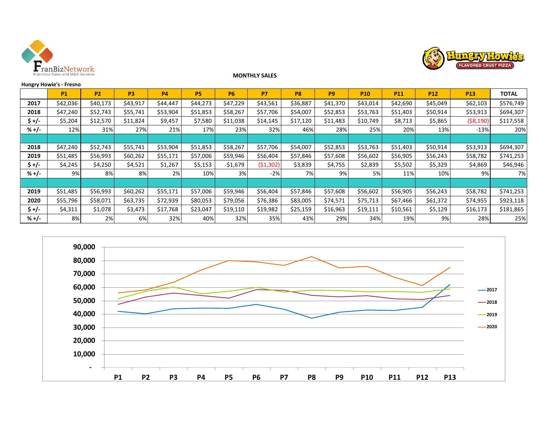



#### **MONTHLY SALES**

|         | <b>Hungry Howie's - Fresno</b> |           |                |           |           |           |           |           |                |            |                 |            |            |              |
|---------|--------------------------------|-----------|----------------|-----------|-----------|-----------|-----------|-----------|----------------|------------|-----------------|------------|------------|--------------|
|         | <b>P1</b>                      | <b>P2</b> | P <sub>3</sub> | <b>P4</b> | <b>P5</b> | <b>P6</b> | P7        | <b>P8</b> | P <sub>9</sub> | <b>P10</b> | P <sub>11</sub> | <b>P12</b> | <b>P13</b> | <b>TOTAL</b> |
| 2017    | \$42,036                       | \$40,173  | \$43,917       | \$44,447  | \$44,273  | \$47,229  | \$43,561  | \$36,887  | \$41,370       | \$43,014   | \$42,690        | \$45,049   | \$62,103   | \$576,749    |
| 2018    | \$47,240                       | \$52,743  | \$55,741       | \$53,904  | \$51,853  | \$58,267  | \$57,706  | \$54,007  | \$52,853       | \$53,763   | \$51,403        | \$50,914   | \$53,913   | \$694,307    |
| \$ +/-  | \$5,204                        | \$12,570  | \$11,824       | \$9,457   | \$7,580   | \$11,038  | \$14,145  | \$17,120  | \$11,483       | \$10,749   | \$8,713         | \$5,865    | ( \$8,190) | \$117,558    |
| $% +/-$ | 12%                            | 31%       | 27%            | 21%       | 17%       | 23%       | 32%       | 46%       | 28%            | 25%        | 20%             | 13%        | $-13%$     | 20%          |
|         |                                |           |                |           |           |           |           |           |                |            |                 |            |            |              |
| 2018    | \$47,240                       | \$52,743  | \$55,741       | \$53,904  | \$51,853  | \$58,267  | \$57,706  | \$54,007  | \$52,853       | \$53,763   | \$51,403        | \$50,914   | \$53,913   | \$694,307    |
| 2019    | \$51,485                       | \$56,993  | \$60,262       | \$55,171  | \$57,006  | \$59,946  | \$56,404  | \$57,846  | \$57,608       | \$56,602   | \$56,905        | \$56,243   | \$58,782   | \$741,253    |
| $$+/-$  | \$4,245                        | \$4,250   | \$4,521        | \$1,267   | \$5,153   | \$1,679   | (51, 302) | \$3,839   | \$4,755        | \$2,839    | \$5,502         | \$5,329    | \$4,869    | \$46,946     |
| $% +/-$ | 9%                             | 8%        | 8%             | 2%        | 10%       | 3%        | $-2%$     | 7%        | 9%             | 5%         | 11%             | 10%        | 9%         | 7%           |
|         |                                |           |                |           |           |           |           |           |                |            |                 |            |            |              |
| 2019    | \$51,485                       | \$56,993  | \$60,262       | \$55,171  | \$57,006  | \$59,946  | \$56,404  | \$57,846  | \$57,608       | \$56,602   | \$56,905        | \$56,243   | \$58,782   | \$741,253    |
| 2020    | \$55,796                       | \$58,071  | \$63,735       | \$72,939  | \$80,053  | \$79,056  | \$76,386  | \$83,005  | \$74,571       | \$75,713   | \$67,466        | \$61,372   | \$74,955   | \$923,118    |
| $$+/-$  | \$4,311                        | \$1,078   | \$3,473        | \$17,768  | \$23,047  | \$19,110  | \$19,982  | \$25,159  | \$16,963       | \$19,111   | \$10,561        | \$5,129    | \$16,173   | \$181,865    |
| $% +/-$ | 8%                             | 2%        | 6%             | 32%       | 40%       | 32%       | 35%       | 43%       | 29%            | 34%        | 19%             | 9%         | 28%        | 25%          |